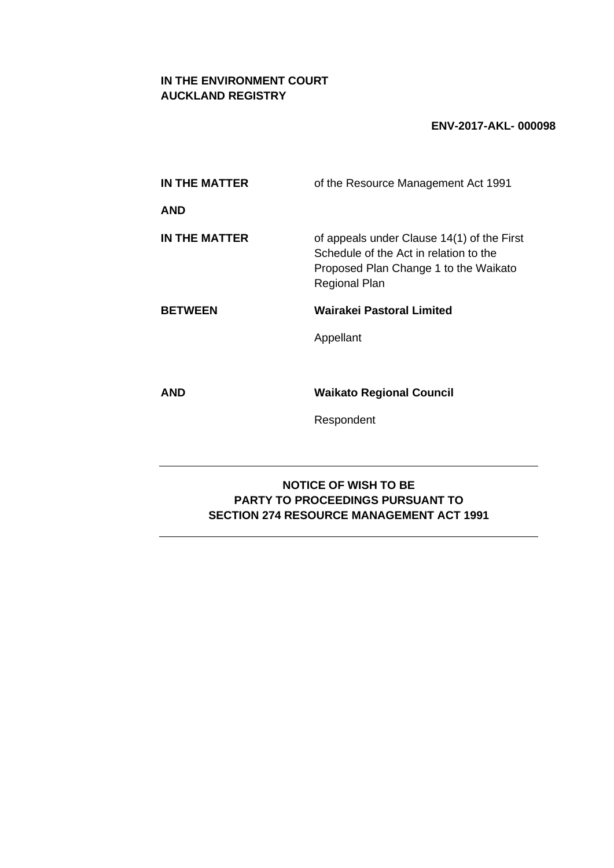# **IN THE ENVIRONMENT COURT AUCKLAND REGISTRY**

## **ENV-2017-AKL- 000098**

| IN THE MATTER                                                                                                             | of the Resource Management Act 1991                                                                                                                   |  |  |
|---------------------------------------------------------------------------------------------------------------------------|-------------------------------------------------------------------------------------------------------------------------------------------------------|--|--|
| <b>AND</b>                                                                                                                |                                                                                                                                                       |  |  |
| IN THE MATTER                                                                                                             | of appeals under Clause 14(1) of the First<br>Schedule of the Act in relation to the<br>Proposed Plan Change 1 to the Waikato<br><b>Regional Plan</b> |  |  |
| <b>BETWEEN</b>                                                                                                            | Wairakei Pastoral Limited                                                                                                                             |  |  |
|                                                                                                                           | Appellant                                                                                                                                             |  |  |
|                                                                                                                           |                                                                                                                                                       |  |  |
| <b>AND</b>                                                                                                                | <b>Waikato Regional Council</b>                                                                                                                       |  |  |
|                                                                                                                           | Respondent                                                                                                                                            |  |  |
|                                                                                                                           |                                                                                                                                                       |  |  |
| <b>NOTICE OF WISH TO BE</b><br><b>PARTY TO PROCEEDINGS PURSUANT TO</b><br><b>SECTION 274 RESOURCE MANAGEMENT ACT 1991</b> |                                                                                                                                                       |  |  |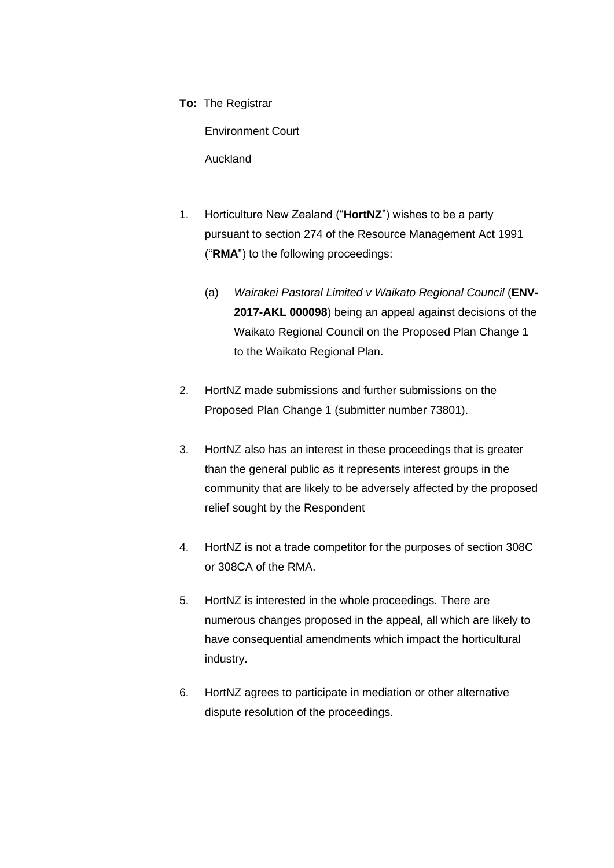**To:** The Registrar

Environment Court

Auckland

- 1. Horticulture New Zealand ("**HortNZ**") wishes to be a party pursuant to section 274 of the Resource Management Act 1991 ("**RMA**") to the following proceedings:
	- (a) *Wairakei Pastoral Limited v Waikato Regional Council* (**ENV-2017-AKL 000098**) being an appeal against decisions of the Waikato Regional Council on the Proposed Plan Change 1 to the Waikato Regional Plan.
- 2. HortNZ made submissions and further submissions on the Proposed Plan Change 1 (submitter number 73801).
- 3. HortNZ also has an interest in these proceedings that is greater than the general public as it represents interest groups in the community that are likely to be adversely affected by the proposed relief sought by the Respondent
- 4. HortNZ is not a trade competitor for the purposes of section 308C or 308CA of the RMA.
- 5. HortNZ is interested in the whole proceedings. There are numerous changes proposed in the appeal, all which are likely to have consequential amendments which impact the horticultural industry.
- 6. HortNZ agrees to participate in mediation or other alternative dispute resolution of the proceedings.